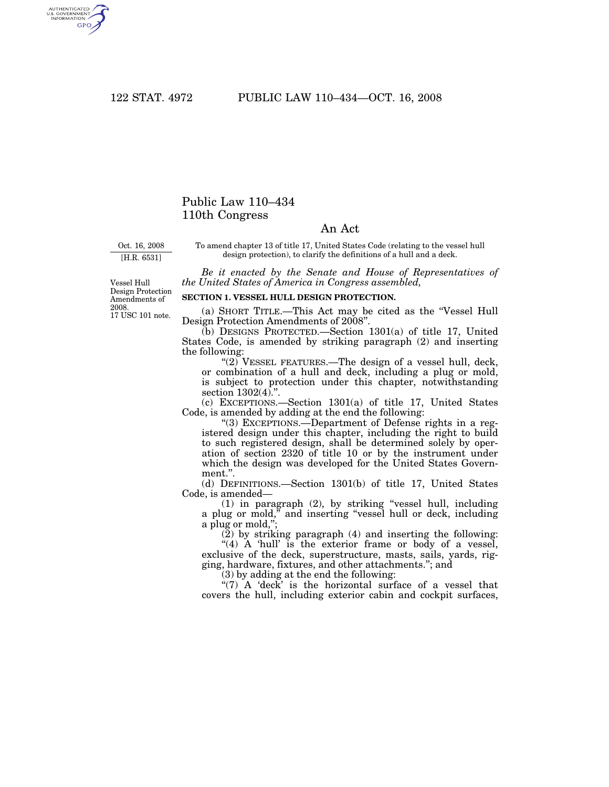AUTHENTICATED<br>U.S. GOVERNMENT<br>INFORMATION GPO

## Public Law 110–434 110th Congress

## An Act

Oct. 16, 2008 [H.R. 6531]

To amend chapter 13 of title 17, United States Code (relating to the vessel hull design protection), to clarify the definitions of a hull and a deck.

*Be it enacted by the Senate and House of Representatives of the United States of America in Congress assembled,* 

17 USC 101 note. Vessel Hull Design Protection Amendments of 2008.

## **SECTION 1. VESSEL HULL DESIGN PROTECTION.**

(a) SHORT TITLE.—This Act may be cited as the ''Vessel Hull Design Protection Amendments of 2008''.

(b) DESIGNS PROTECTED.—Section 1301(a) of title 17, United States Code, is amended by striking paragraph (2) and inserting the following:

''(2) VESSEL FEATURES.—The design of a vessel hull, deck, or combination of a hull and deck, including a plug or mold, is subject to protection under this chapter, notwithstanding section  $1302(4)$ .".

(c) EXCEPTIONS.—Section 1301(a) of title 17, United States Code, is amended by adding at the end the following:

''(3) EXCEPTIONS.—Department of Defense rights in a registered design under this chapter, including the right to build to such registered design, shall be determined solely by operation of section 2320 of title 10 or by the instrument under which the design was developed for the United States Government.''.

(d) DEFINITIONS.—Section 1301(b) of title 17, United States Code, is amended—

(1) in paragraph (2), by striking ''vessel hull, including a plug or mold,'' and inserting ''vessel hull or deck, including a plug or mold,'';

(2) by striking paragraph (4) and inserting the following:

 $*(4)$  A 'hull' is the exterior frame or body of a vessel, exclusive of the deck, superstructure, masts, sails, yards, rigging, hardware, fixtures, and other attachments.''; and

(3) by adding at the end the following:

" $(7)$  A 'deck' is the horizontal surface of a vessel that covers the hull, including exterior cabin and cockpit surfaces,